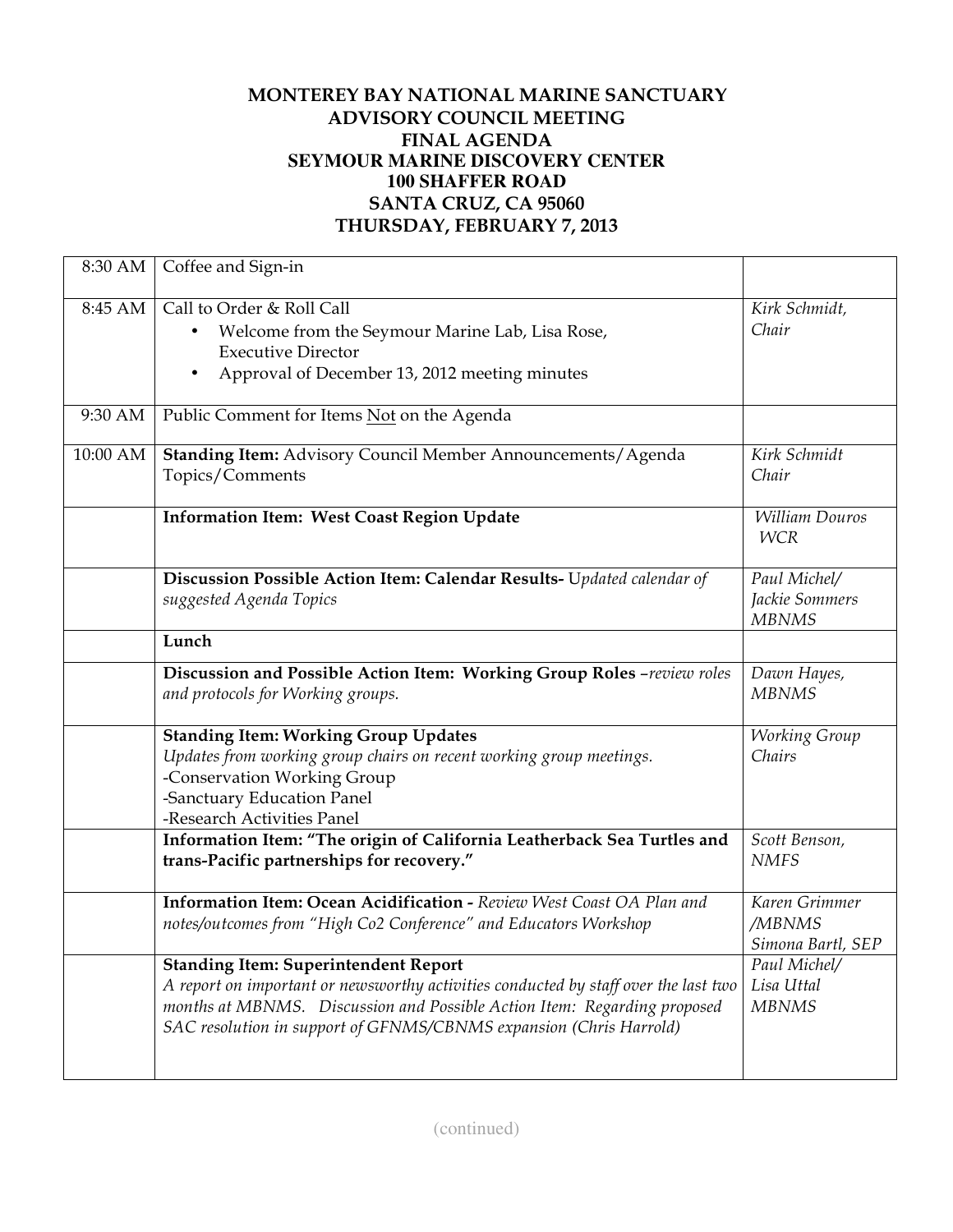## **MONTEREY BAY NATIONAL MARINE SANCTUARY ADVISORY COUNCIL MEETING FINAL AGENDA SEYMOUR MARINE DISCOVERY CENTER 100 SHAFFER ROAD SANTA CRUZ, CA 95060 THURSDAY, FEBRUARY 7, 2013**

| 8:30 AM  | Coffee and Sign-in                                                                                                                                                                                                                                                                   |                                                |
|----------|--------------------------------------------------------------------------------------------------------------------------------------------------------------------------------------------------------------------------------------------------------------------------------------|------------------------------------------------|
| 8:45 AM  | Call to Order & Roll Call<br>Welcome from the Seymour Marine Lab, Lisa Rose,<br><b>Executive Director</b><br>Approval of December 13, 2012 meeting minutes                                                                                                                           | Kirk Schmidt,<br>Chair                         |
| 9:30 AM  | Public Comment for Items Not on the Agenda                                                                                                                                                                                                                                           |                                                |
| 10:00 AM | Standing Item: Advisory Council Member Announcements/Agenda<br>Topics/Comments                                                                                                                                                                                                       | Kirk Schmidt<br>Chair                          |
|          | <b>Information Item: West Coast Region Update</b>                                                                                                                                                                                                                                    | William Douros<br><b>WCR</b>                   |
|          | Discussion Possible Action Item: Calendar Results- Updated calendar of<br>suggested Agenda Topics                                                                                                                                                                                    | Paul Michel/<br>Jackie Sommers<br><b>MBNMS</b> |
|          | Lunch                                                                                                                                                                                                                                                                                |                                                |
|          | Discussion and Possible Action Item: Working Group Roles -review roles<br>and protocols for Working groups.                                                                                                                                                                          | Dawn Hayes,<br><b>MBNMS</b>                    |
|          | <b>Standing Item: Working Group Updates</b><br>Updates from working group chairs on recent working group meetings.<br>-Conservation Working Group<br>-Sanctuary Education Panel<br>-Research Activities Panel                                                                        | <b>Working Group</b><br>Chairs                 |
|          | Information Item: "The origin of California Leatherback Sea Turtles and<br>trans-Pacific partnerships for recovery."                                                                                                                                                                 | Scott Benson,<br><b>NMFS</b>                   |
|          | Information Item: Ocean Acidification - Review West Coast OA Plan and<br>notes/outcomes from "High Co2 Conference" and Educators Workshop                                                                                                                                            | Karen Grimmer<br>/MBNMS<br>Simona Bartl, SEP   |
|          | <b>Standing Item: Superintendent Report</b><br>A report on important or newsworthy activities conducted by staff over the last two<br>months at MBNMS. Discussion and Possible Action Item: Regarding proposed<br>SAC resolution in support of GFNMS/CBNMS expansion (Chris Harrold) | Paul Michel/<br>Lisa Uttal<br><b>MBNMS</b>     |